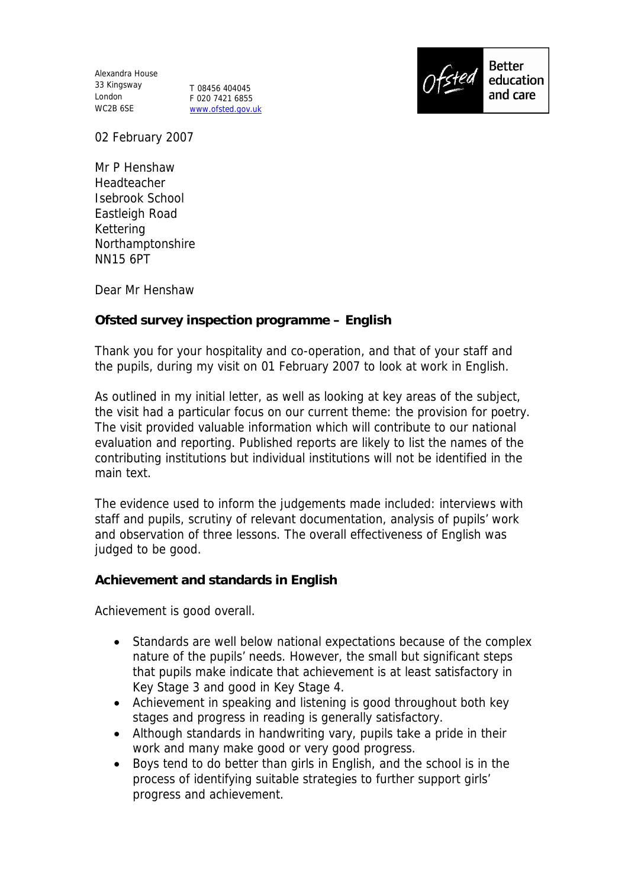Alexandra House 33 Kingsway London WC2B 6SE

T 08456 404045 F 020 7421 6855 www.ofsted.gov.uk



02 February 2007

Mr P Henshaw Headteacher Isebrook School Eastleigh Road Kettering Northamptonshire NN15 6PT

Dear Mr Henshaw

**Ofsted survey inspection programme – English**

Thank you for your hospitality and co-operation, and that of your staff and the pupils, during my visit on 01 February 2007 to look at work in English.

As outlined in my initial letter, as well as looking at key areas of the subject, the visit had a particular focus on our current theme: the provision for poetry. The visit provided valuable information which will contribute to our national evaluation and reporting. Published reports are likely to list the names of the contributing institutions but individual institutions will not be identified in the main text.

The evidence used to inform the judgements made included: interviews with staff and pupils, scrutiny of relevant documentation, analysis of pupils' work and observation of three lessons. The overall effectiveness of English was judged to be good.

**Achievement and standards in English**

Achievement is good overall.

- Standards are well below national expectations because of the complex nature of the pupils' needs. However, the small but significant steps that pupils make indicate that achievement is at least satisfactory in Key Stage 3 and good in Key Stage 4.
- Achievement in speaking and listening is good throughout both key stages and progress in reading is generally satisfactory.
- Although standards in handwriting vary, pupils take a pride in their work and many make good or very good progress.
- Boys tend to do better than girls in English, and the school is in the process of identifying suitable strategies to further support girls' progress and achievement.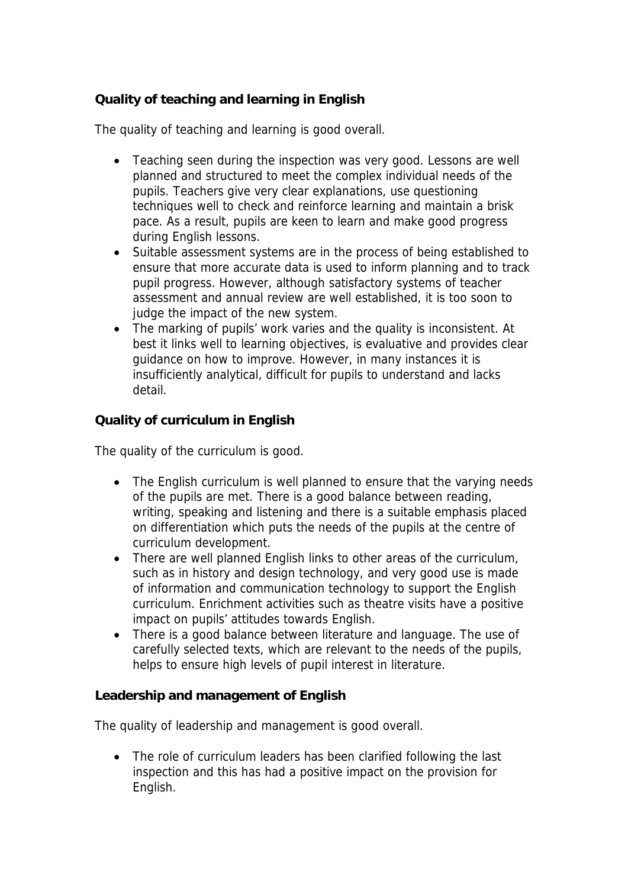## **Quality of teaching and learning in English**

The quality of teaching and learning is good overall.

- Teaching seen during the inspection was very good. Lessons are well planned and structured to meet the complex individual needs of the pupils. Teachers give very clear explanations, use questioning techniques well to check and reinforce learning and maintain a brisk pace. As a result, pupils are keen to learn and make good progress during English lessons.
- Suitable assessment systems are in the process of being established to ensure that more accurate data is used to inform planning and to track pupil progress. However, although satisfactory systems of teacher assessment and annual review are well established, it is too soon to judge the impact of the new system.
- The marking of pupils' work varies and the quality is inconsistent. At best it links well to learning objectives, is evaluative and provides clear guidance on how to improve. However, in many instances it is insufficiently analytical, difficult for pupils to understand and lacks detail.

**Quality of curriculum in English**

The quality of the curriculum is good.

- The English curriculum is well planned to ensure that the varying needs of the pupils are met. There is a good balance between reading, writing, speaking and listening and there is a suitable emphasis placed on differentiation which puts the needs of the pupils at the centre of curriculum development.
- There are well planned English links to other areas of the curriculum, such as in history and design technology, and very good use is made of information and communication technology to support the English curriculum. Enrichment activities such as theatre visits have a positive impact on pupils' attitudes towards English.
- There is a good balance between literature and language. The use of carefully selected texts, which are relevant to the needs of the pupils, helps to ensure high levels of pupil interest in literature.

**Leadership and management of English**

The quality of leadership and management is good overall.

• The role of curriculum leaders has been clarified following the last inspection and this has had a positive impact on the provision for English.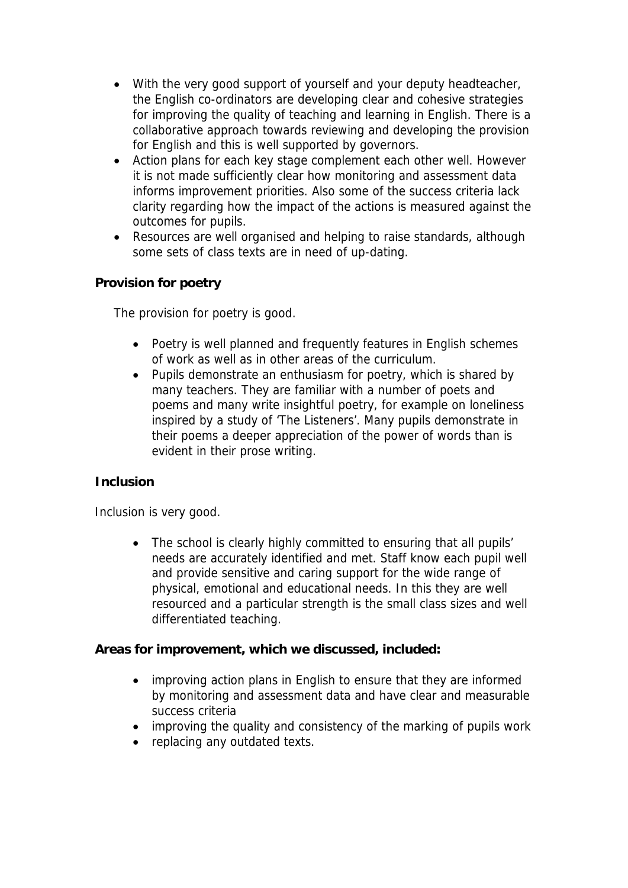- With the very good support of yourself and your deputy headteacher, the English co-ordinators are developing clear and cohesive strategies for improving the quality of teaching and learning in English. There is a collaborative approach towards reviewing and developing the provision for English and this is well supported by governors.
- Action plans for each key stage complement each other well. However it is not made sufficiently clear how monitoring and assessment data informs improvement priorities. Also some of the success criteria lack clarity regarding how the impact of the actions is measured against the outcomes for pupils.
- Resources are well organised and helping to raise standards, although some sets of class texts are in need of up-dating.

## **Provision for poetry**

The provision for poetry is good.

- Poetry is well planned and frequently features in English schemes of work as well as in other areas of the curriculum.
- Pupils demonstrate an enthusiasm for poetry, which is shared by many teachers. They are familiar with a number of poets and poems and many write insightful poetry, for example on loneliness inspired by a study of 'The Listeners'. Many pupils demonstrate in their poems a deeper appreciation of the power of words than is evident in their prose writing.

## **Inclusion**

Inclusion is very good.

• The school is clearly highly committed to ensuring that all pupils' needs are accurately identified and met. Staff know each pupil well and provide sensitive and caring support for the wide range of physical, emotional and educational needs. In this they are well resourced and a particular strength is the small class sizes and well differentiated teaching.

**Areas for improvement, which we discussed, included:**

- improving action plans in English to ensure that they are informed by monitoring and assessment data and have clear and measurable success criteria
- improving the quality and consistency of the marking of pupils work
- replacing any outdated texts.